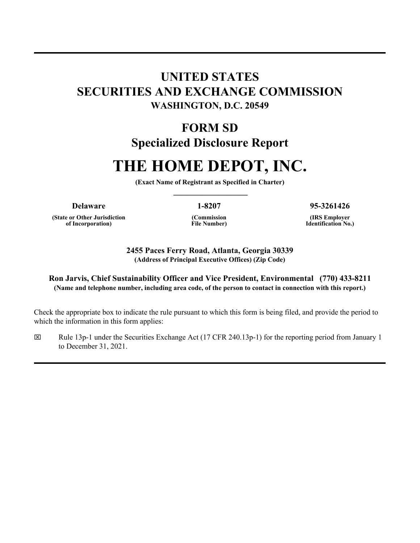# **UNITED STATES SECURITIES AND EXCHANGE COMMISSION WASHINGTON, D.C. 20549**

# **FORM SD Specialized Disclosure Report**

# **THE HOME DEPOT, INC.**

**(Exact Name of Registrant as Specified in Charter) \_\_\_\_\_\_\_\_\_\_\_\_\_\_\_\_\_\_**

**(State or Other Jurisdiction of Incorporation)** 

**(Commission File Number)** 

**Delaware 1-8207 95-3261426**

**(IRS Employer Identification No.)**

**2455 Paces Ferry Road, Atlanta, Georgia 30339 (Address of Principal Executive Offices) (Zip Code)**

#### **Ron Jarvis, Chief Sustainability Officer and Vice President, Environmental (770) 433-8211 (Name and telephone number, including area code, of the person to contact in connection with this report.)**

Check the appropriate box to indicate the rule pursuant to which this form is being filed, and provide the period to which the information in this form applies:

x Rule 13p-1 under the Securities Exchange Act (17 CFR 240.13p-1) for the reporting period from January 1 to December 31, 2021.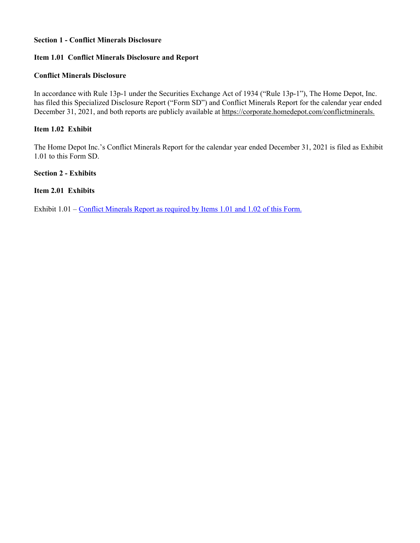#### **Section 1 - Conflict Minerals Disclosure**

#### **Item 1.01 Conflict Minerals Disclosure and Report**

#### **Conflict Minerals Disclosure**

In accordance with Rule 13p-1 under the Securities Exchange Act of 1934 ("Rule 13p-1"), The Home Depot, Inc. has filed this Specialized Disclosure Report ("Form SD") and Conflict Minerals Report for the calendar year ended December 31, 2021, and both reports are publicly available at https://corporate.homedepot.com/conflictminerals.

#### **Item 1.02 Exhibit**

The Home Depot Inc.'s Conflict Minerals Report for the calendar year ended December 31, 2021 is filed as Exhibit 1.01 to this Form SD.

**Section 2 - Exhibits**

#### **Item 2.01 Exhibits**

Exhibit  $1.01$  – Conflict Minerals Report as required by Items 1.01 and 1.02 of this Form.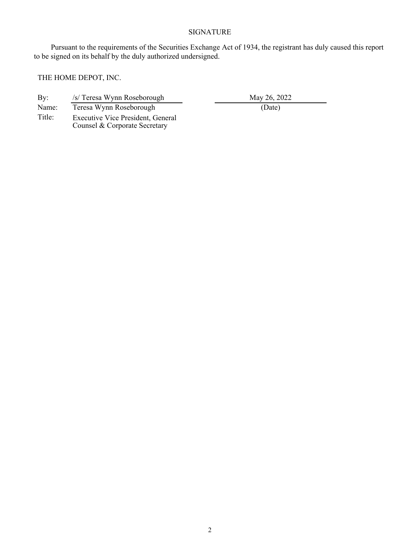# SIGNATURE

Pursuant to the requirements of the Securities Exchange Act of 1934, the registrant has duly caused this report to be signed on its behalf by the duly authorized undersigned.

THE HOME DEPOT, INC.

| By:    | /s/ Teresa Wynn Roseborough                                               | May 26, 2022 |
|--------|---------------------------------------------------------------------------|--------------|
| Name:  | Teresa Wynn Roseborough                                                   | (Date)       |
| Title: | <b>Executive Vice President, General</b><br>Counsel & Corporate Secretary |              |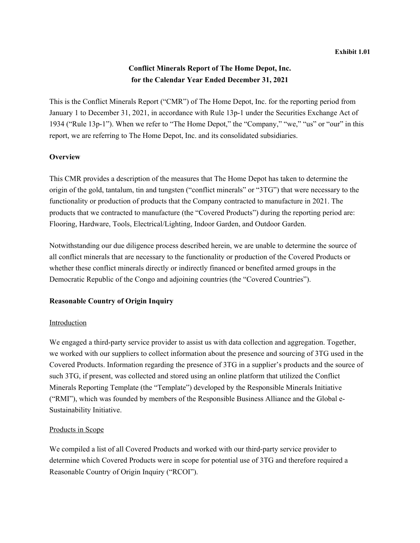## **Conflict Minerals Report of The Home Depot, Inc. for the Calendar Year Ended December 31, 2021**

This is the Conflict Minerals Report ("CMR") of The Home Depot, Inc. for the reporting period from January 1 to December 31, 2021, in accordance with Rule 13p-1 under the Securities Exchange Act of 1934 ("Rule 13p-1"). When we refer to "The Home Depot," the "Company," "we," "us" or "our" in this report, we are referring to The Home Depot, Inc. and its consolidated subsidiaries.

#### **Overview**

This CMR provides a description of the measures that The Home Depot has taken to determine the origin of the gold, tantalum, tin and tungsten ("conflict minerals" or "3TG") that were necessary to the functionality or production of products that the Company contracted to manufacture in 2021. The products that we contracted to manufacture (the "Covered Products") during the reporting period are: Flooring, Hardware, Tools, Electrical/Lighting, Indoor Garden, and Outdoor Garden.

Notwithstanding our due diligence process described herein, we are unable to determine the source of all conflict minerals that are necessary to the functionality or production of the Covered Products or whether these conflict minerals directly or indirectly financed or benefited armed groups in the Democratic Republic of the Congo and adjoining countries (the "Covered Countries").

#### **Reasonable Country of Origin Inquiry**

#### Introduction

We engaged a third-party service provider to assist us with data collection and aggregation. Together, we worked with our suppliers to collect information about the presence and sourcing of 3TG used in the Covered Products. Information regarding the presence of 3TG in a supplier's products and the source of such 3TG, if present, was collected and stored using an online platform that utilized the Conflict Minerals Reporting Template (the "Template") developed by the Responsible Minerals Initiative ("RMI"), which was founded by members of the Responsible Business Alliance and the Global e-Sustainability Initiative.

#### Products in Scope

We compiled a list of all Covered Products and worked with our third-party service provider to determine which Covered Products were in scope for potential use of 3TG and therefore required a Reasonable Country of Origin Inquiry ("RCOI").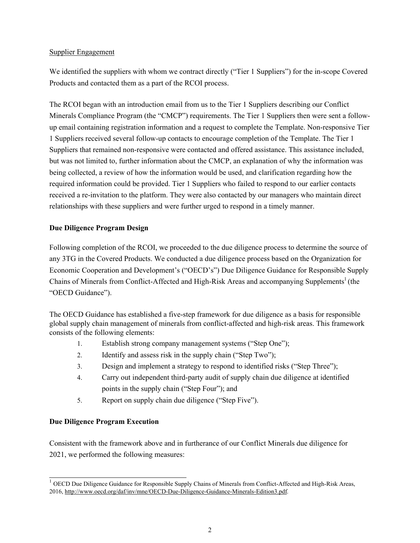#### Supplier Engagement

We identified the suppliers with whom we contract directly ("Tier 1 Suppliers") for the in-scope Covered Products and contacted them as a part of the RCOI process.

The RCOI began with an introduction email from us to the Tier 1 Suppliers describing our Conflict Minerals Compliance Program (the "CMCP") requirements. The Tier 1 Suppliers then were sent a followup email containing registration information and a request to complete the Template. Non-responsive Tier 1 Suppliers received several follow-up contacts to encourage completion of the Template. The Tier 1 Suppliers that remained non-responsive were contacted and offered assistance. This assistance included, but was not limited to, further information about the CMCP, an explanation of why the information was being collected, a review of how the information would be used, and clarification regarding how the required information could be provided. Tier 1 Suppliers who failed to respond to our earlier contacts received a re-invitation to the platform. They were also contacted by our managers who maintain direct relationships with these suppliers and were further urged to respond in a timely manner.

### **Due Diligence Program Design**

Following completion of the RCOI, we proceeded to the due diligence process to determine the source of any 3TG in the Covered Products. We conducted a due diligence process based on the Organization for Economic Cooperation and Development's ("OECD's") Due Diligence Guidance for Responsible Supply Chains of Minerals from Conflict-Affected and High-Risk Areas and accompanying Supplements<sup>1</sup> (the "OECD Guidance").

The OECD Guidance has established a five-step framework for due diligence as a basis for responsible global supply chain management of minerals from conflict-affected and high-risk areas. This framework consists of the following elements:

- 1. Establish strong company management systems ("Step One");
- 2. Identify and assess risk in the supply chain ("Step Two");
- 3. Design and implement a strategy to respond to identified risks ("Step Three");
- 4. Carry out independent third-party audit of supply chain due diligence at identified points in the supply chain ("Step Four"); and
- 5. Report on supply chain due diligence ("Step Five").

#### **Due Diligence Program Execution**

Consistent with the framework above and in furtherance of our Conflict Minerals due diligence for 2021, we performed the following measures:

<sup>&</sup>lt;sup>1</sup> OECD Due Diligence Guidance for Responsible Supply Chains of Minerals from Conflict-Affected and High-Risk Areas, 2016, http://www.oecd.org/daf/inv/mne/OECD-Due-Diligence-Guidance-Minerals-Edition3.pdf.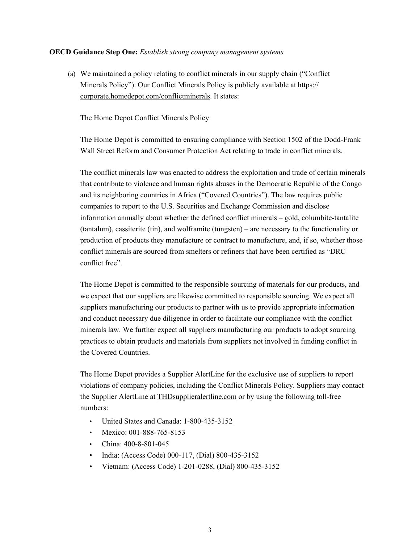#### **OECD Guidance Step One:** *Establish strong company management systems*

(a) We maintained a policy relating to conflict minerals in our supply chain ("Conflict Minerals Policy"). Our Conflict Minerals Policy is publicly available at https:// corporate.homedepot.com/conflictminerals. It states:

#### The Home Depot Conflict Minerals Policy

The Home Depot is committed to ensuring compliance with Section 1502 of the Dodd-Frank Wall Street Reform and Consumer Protection Act relating to trade in conflict minerals.

The conflict minerals law was enacted to address the exploitation and trade of certain minerals that contribute to violence and human rights abuses in the Democratic Republic of the Congo and its neighboring countries in Africa ("Covered Countries"). The law requires public companies to report to the U.S. Securities and Exchange Commission and disclose information annually about whether the defined conflict minerals – gold, columbite-tantalite (tantalum), cassiterite (tin), and wolframite (tungsten) – are necessary to the functionality or production of products they manufacture or contract to manufacture, and, if so, whether those conflict minerals are sourced from smelters or refiners that have been certified as "DRC conflict free".

The Home Depot is committed to the responsible sourcing of materials for our products, and we expect that our suppliers are likewise committed to responsible sourcing. We expect all suppliers manufacturing our products to partner with us to provide appropriate information and conduct necessary due diligence in order to facilitate our compliance with the conflict minerals law. We further expect all suppliers manufacturing our products to adopt sourcing practices to obtain products and materials from suppliers not involved in funding conflict in the Covered Countries.

The Home Depot provides a Supplier AlertLine for the exclusive use of suppliers to report violations of company policies, including the Conflict Minerals Policy. Suppliers may contact the Supplier AlertLine at THDsupplieralertline.com or by using the following toll-free numbers:

- United States and Canada: 1-800-435-3152
- Mexico: 001-888-765-8153
- China: 400-8-801-045
- India: (Access Code) 000-117, (Dial) 800-435-3152
- Vietnam: (Access Code) 1-201-0288, (Dial) 800-435-3152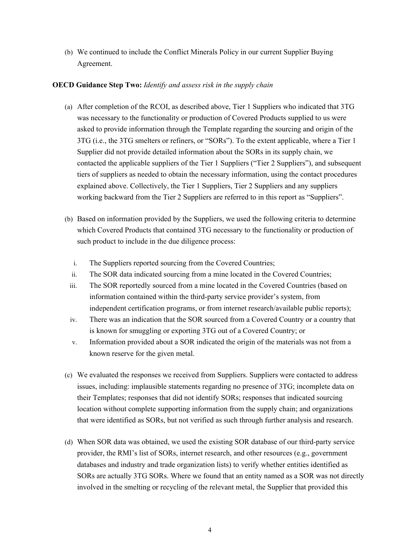(b) We continued to include the Conflict Minerals Policy in our current Supplier Buying Agreement.

#### **OECD Guidance Step Two:** *Identify and assess risk in the supply chain*

- (a) After completion of the RCOI, as described above, Tier 1 Suppliers who indicated that 3TG was necessary to the functionality or production of Covered Products supplied to us were asked to provide information through the Template regarding the sourcing and origin of the 3TG (i.e., the 3TG smelters or refiners, or "SORs"). To the extent applicable, where a Tier 1 Supplier did not provide detailed information about the SORs in its supply chain, we contacted the applicable suppliers of the Tier 1 Suppliers ("Tier 2 Suppliers"), and subsequent tiers of suppliers as needed to obtain the necessary information, using the contact procedures explained above. Collectively, the Tier 1 Suppliers, Tier 2 Suppliers and any suppliers working backward from the Tier 2 Suppliers are referred to in this report as "Suppliers".
- (b) Based on information provided by the Suppliers, we used the following criteria to determine which Covered Products that contained 3TG necessary to the functionality or production of such product to include in the due diligence process:
	- i. The Suppliers reported sourcing from the Covered Countries;
	- ii. The SOR data indicated sourcing from a mine located in the Covered Countries;
	- iii. The SOR reportedly sourced from a mine located in the Covered Countries (based on information contained within the third-party service provider's system, from independent certification programs, or from internet research/available public reports);
	- iv. There was an indication that the SOR sourced from a Covered Country or a country that is known for smuggling or exporting 3TG out of a Covered Country; or
	- v. Information provided about a SOR indicated the origin of the materials was not from a known reserve for the given metal.
- (c) We evaluated the responses we received from Suppliers. Suppliers were contacted to address issues, including: implausible statements regarding no presence of 3TG; incomplete data on their Templates; responses that did not identify SORs; responses that indicated sourcing location without complete supporting information from the supply chain; and organizations that were identified as SORs, but not verified as such through further analysis and research.
- (d) When SOR data was obtained, we used the existing SOR database of our third-party service provider, the RMI's list of SORs, internet research, and other resources (e.g., government databases and industry and trade organization lists) to verify whether entities identified as SORs are actually 3TG SORs. Where we found that an entity named as a SOR was not directly involved in the smelting or recycling of the relevant metal, the Supplier that provided this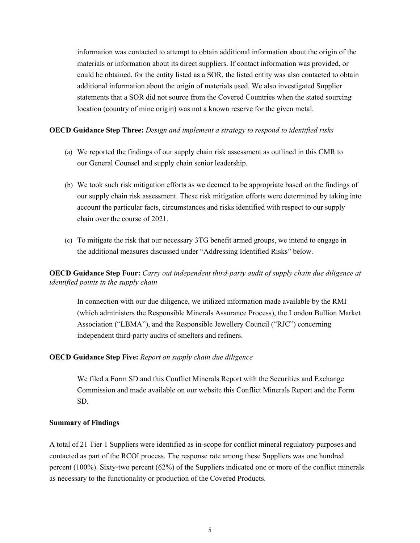information was contacted to attempt to obtain additional information about the origin of the materials or information about its direct suppliers. If contact information was provided, or could be obtained, for the entity listed as a SOR, the listed entity was also contacted to obtain additional information about the origin of materials used. We also investigated Supplier statements that a SOR did not source from the Covered Countries when the stated sourcing location (country of mine origin) was not a known reserve for the given metal.

#### **OECD Guidance Step Three:** *Design and implement a strategy to respond to identified risks*

- (a) We reported the findings of our supply chain risk assessment as outlined in this CMR to our General Counsel and supply chain senior leadership.
- (b) We took such risk mitigation efforts as we deemed to be appropriate based on the findings of our supply chain risk assessment. These risk mitigation efforts were determined by taking into account the particular facts, circumstances and risks identified with respect to our supply chain over the course of 2021.
- (c) To mitigate the risk that our necessary 3TG benefit armed groups, we intend to engage in the additional measures discussed under "Addressing Identified Risks" below.

**OECD Guidance Step Four:** *Carry out independent third-party audit of supply chain due diligence at identified points in the supply chain*

In connection with our due diligence, we utilized information made available by the RMI (which administers the Responsible Minerals Assurance Process), the London Bullion Market Association ("LBMA"), and the Responsible Jewellery Council ("RJC") concerning independent third-party audits of smelters and refiners.

#### **OECD Guidance Step Five:** *Report on supply chain due diligence*

We filed a Form SD and this Conflict Minerals Report with the Securities and Exchange Commission and made available on our website this Conflict Minerals Report and the Form SD.

#### **Summary of Findings**

A total of 21 Tier 1 Suppliers were identified as in-scope for conflict mineral regulatory purposes and contacted as part of the RCOI process. The response rate among these Suppliers was one hundred percent (100%). Sixty-two percent (62%) of the Suppliers indicated one or more of the conflict minerals as necessary to the functionality or production of the Covered Products.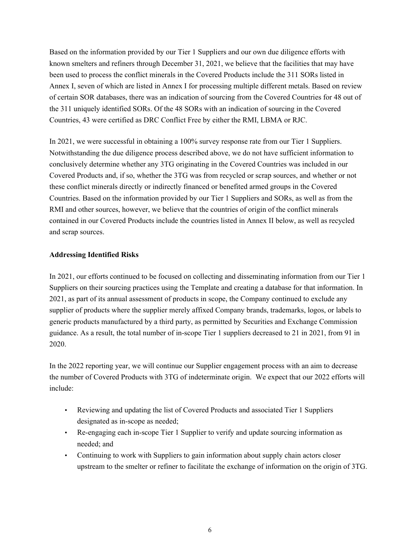Based on the information provided by our Tier 1 Suppliers and our own due diligence efforts with known smelters and refiners through December 31, 2021, we believe that the facilities that may have been used to process the conflict minerals in the Covered Products include the 311 SORs listed in Annex I, seven of which are listed in Annex I for processing multiple different metals. Based on review of certain SOR databases, there was an indication of sourcing from the Covered Countries for 48 out of the 311 uniquely identified SORs. Of the 48 SORs with an indication of sourcing in the Covered Countries, 43 were certified as DRC Conflict Free by either the RMI, LBMA or RJC.

In 2021, we were successful in obtaining a 100% survey response rate from our Tier 1 Suppliers. Notwithstanding the due diligence process described above, we do not have sufficient information to conclusively determine whether any 3TG originating in the Covered Countries was included in our Covered Products and, if so, whether the 3TG was from recycled or scrap sources, and whether or not these conflict minerals directly or indirectly financed or benefited armed groups in the Covered Countries. Based on the information provided by our Tier 1 Suppliers and SORs, as well as from the RMI and other sources, however, we believe that the countries of origin of the conflict minerals contained in our Covered Products include the countries listed in Annex II below, as well as recycled and scrap sources.

#### **Addressing Identified Risks**

In 2021, our efforts continued to be focused on collecting and disseminating information from our Tier 1 Suppliers on their sourcing practices using the Template and creating a database for that information. In 2021, as part of its annual assessment of products in scope, the Company continued to exclude any supplier of products where the supplier merely affixed Company brands, trademarks, logos, or labels to generic products manufactured by a third party, as permitted by Securities and Exchange Commission guidance. As a result, the total number of in-scope Tier 1 suppliers decreased to 21 in 2021, from 91 in 2020.

In the 2022 reporting year, we will continue our Supplier engagement process with an aim to decrease the number of Covered Products with 3TG of indeterminate origin. We expect that our 2022 efforts will include:

- Reviewing and updating the list of Covered Products and associated Tier 1 Suppliers designated as in-scope as needed;
- Re-engaging each in-scope Tier 1 Supplier to verify and update sourcing information as needed; and
- Continuing to work with Suppliers to gain information about supply chain actors closer upstream to the smelter or refiner to facilitate the exchange of information on the origin of 3TG.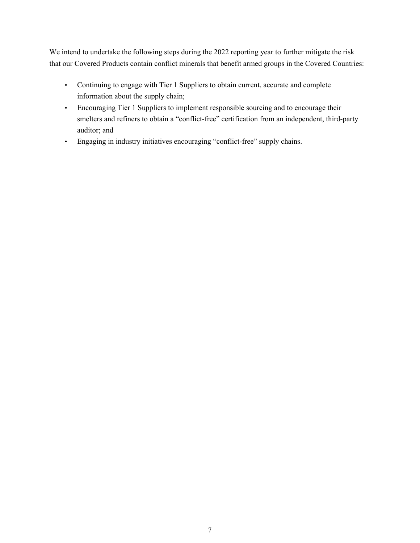We intend to undertake the following steps during the 2022 reporting year to further mitigate the risk that our Covered Products contain conflict minerals that benefit armed groups in the Covered Countries:

- Continuing to engage with Tier 1 Suppliers to obtain current, accurate and complete information about the supply chain;
- Encouraging Tier 1 Suppliers to implement responsible sourcing and to encourage their smelters and refiners to obtain a "conflict-free" certification from an independent, third-party auditor; and
- Engaging in industry initiatives encouraging "conflict-free" supply chains.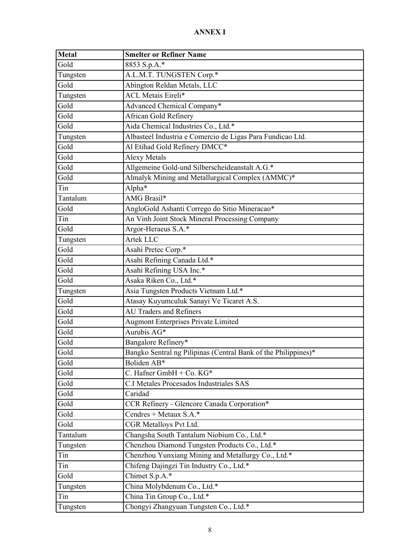# **ANNEX I**

| Metal    | <b>Smelter or Refiner Name</b>                                 |
|----------|----------------------------------------------------------------|
| Gold     | 8853 S.p.A.*                                                   |
| Tungsten | A.L.M.T. TUNGSTEN Corp.*                                       |
| Gold     | Abington Reldan Metals, LLC                                    |
| Tungsten | <b>ACL Metais Eireli*</b>                                      |
| Gold     | Advanced Chemical Company*                                     |
| Gold     | African Gold Refinery                                          |
| Gold     | Aida Chemical Industries Co., Ltd.*                            |
| Tungsten | Albasteel Industria e Comercio de Ligas Para Fundicao Ltd.     |
| Gold     | Al Etihad Gold Refinery DMCC*                                  |
| Gold     | <b>Alexy Metals</b>                                            |
| Gold     | Allgemeine Gold-und Silberscheideanstalt A.G.*                 |
| Gold     | Almalyk Mining and Metallurgical Complex (AMMC)*               |
| Tin      | Alpha $\overline{\ast}$                                        |
| Tantalum | AMG Brasil*                                                    |
| Gold     | AngloGold Ashanti Corrego do Sitio Mineracao*                  |
| Tin      | An Vinh Joint Stock Mineral Processing Company                 |
| Gold     | Argor-Heraeus S.A.*                                            |
| Tungsten | Artek LLC                                                      |
| Gold     | Asahi Pretec Corp.*                                            |
| Gold     | Asahi Refining Canada Ltd.*                                    |
| Gold     | Asahi Refining USA Inc.*                                       |
| Gold     | Asaka Riken Co., Ltd.*                                         |
| Tungsten | Asia Tungsten Products Vietnam Ltd.*                           |
| Gold     | Atasay Kuyumculuk Sanayi Ve Ticaret A.S.                       |
| Gold     | AU Traders and Refiners                                        |
| Gold     | <b>Augmont Enterprises Private Limited</b>                     |
| Gold     | Aurubis AG*                                                    |
| Gold     | Bangalore Refinery*                                            |
| Gold     | Bangko Sentral ng Pilipinas (Central Bank of the Philippines)* |
| Gold     | Boliden AB*                                                    |
| Gold     | C. Hafner GmbH + Co. KG*                                       |
| Gold     | C.I Metales Procesados Industriales SAS                        |
| Gold     | Caridad                                                        |
| Gold     | CCR Refinery - Glencore Canada Corporation*                    |
| Gold     | Cendres + Metaux S.A.*                                         |
| Gold     | CGR Metalloys Pvt Ltd.                                         |
| Tantalum | Changsha South Tantalum Niobium Co., Ltd.*                     |
| Tungsten | Chenzhou Diamond Tungsten Products Co., Ltd.*                  |
| Tin      | Chenzhou Yunxiang Mining and Metallurgy Co., Ltd.*             |
| Tin      | Chifeng Dajingzi Tin Industry Co., Ltd.*                       |
| Gold     | Chimet S.p.A.*                                                 |
| Tungsten | China Molybdenum Co., Ltd.*                                    |
| Tin      | China Tin Group Co., Ltd.*                                     |
| Tungsten | Chongyi Zhangyuan Tungsten Co., Ltd.*                          |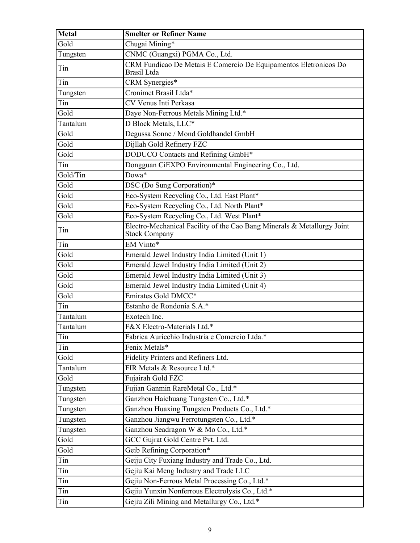| <b>Metal</b> | <b>Smelter or Refiner Name</b>                                                                  |
|--------------|-------------------------------------------------------------------------------------------------|
| Gold         | Chugai Mining*                                                                                  |
| Tungsten     | CNMC (Guangxi) PGMA Co., Ltd.                                                                   |
| Tin          | CRM Fundicao De Metais E Comercio De Equipamentos Eletronicos Do<br>Brasil Ltda                 |
| Tin          | CRM Synergies*                                                                                  |
| Tungsten     | Cronimet Brasil Ltda*                                                                           |
| Tin          | CV Venus Inti Perkasa                                                                           |
| Gold         | Daye Non-Ferrous Metals Mining Ltd.*                                                            |
| Tantalum     | D Block Metals, LLC*                                                                            |
| Gold         | Degussa Sonne / Mond Goldhandel GmbH                                                            |
| Gold         | Dijllah Gold Refinery FZC                                                                       |
| Gold         | DODUCO Contacts and Refining GmbH*                                                              |
| Tin          | Dongguan CiEXPO Environmental Engineering Co., Ltd.                                             |
| Gold/Tin     | Dowa*                                                                                           |
| Gold         | DSC (Do Sung Corporation)*                                                                      |
| Gold         | Eco-System Recycling Co., Ltd. East Plant*                                                      |
| Gold         | Eco-System Recycling Co., Ltd. North Plant*                                                     |
| Gold         | Eco-System Recycling Co., Ltd. West Plant*                                                      |
| Tin          | Electro-Mechanical Facility of the Cao Bang Minerals & Metallurgy Joint<br><b>Stock Company</b> |
| Tin          | EM Vinto*                                                                                       |
| Gold         | Emerald Jewel Industry India Limited (Unit 1)                                                   |
| Gold         | Emerald Jewel Industry India Limited (Unit 2)                                                   |
| Gold         | Emerald Jewel Industry India Limited (Unit 3)                                                   |
| Gold         | Emerald Jewel Industry India Limited (Unit 4)                                                   |
| Gold         | Emirates Gold DMCC*                                                                             |
| Tin          | Estanho de Rondonia S.A.*                                                                       |
| Tantalum     | Exotech Inc.                                                                                    |
| Tantalum     | F&X Electro-Materials Ltd.*                                                                     |
| Tin          | Fabrica Auricchio Industria e Comercio Ltda.*                                                   |
| Tin          | Fenix Metals*                                                                                   |
| Gold         | Fidelity Printers and Refiners Ltd.                                                             |
| Tantalum     | FIR Metals & Resource Ltd.*                                                                     |
| Gold         | Fujairah Gold FZC                                                                               |
| Tungsten     | Fujian Ganmin RareMetal Co., Ltd.*                                                              |
| Tungsten     | Ganzhou Haichuang Tungsten Co., Ltd.*                                                           |
| Tungsten     | Ganzhou Huaxing Tungsten Products Co., Ltd.*                                                    |
| Tungsten     | Ganzhou Jiangwu Ferrotungsten Co., Ltd.*                                                        |
| Tungsten     | Ganzhou Seadragon W & Mo Co., Ltd.*                                                             |
| Gold         | GCC Gujrat Gold Centre Pvt. Ltd.                                                                |
| Gold         | Geib Refining Corporation*                                                                      |
| Tin          | Geiju City Fuxiang Industry and Trade Co., Ltd.                                                 |
| Tin          | Gejiu Kai Meng Industry and Trade LLC                                                           |
| Tin          | Gejiu Non-Ferrous Metal Processing Co., Ltd.*                                                   |
| Tin          | Gejiu Yunxin Nonferrous Electrolysis Co., Ltd.*                                                 |
| Tin          | Gejiu Zili Mining and Metallurgy Co., Ltd.*                                                     |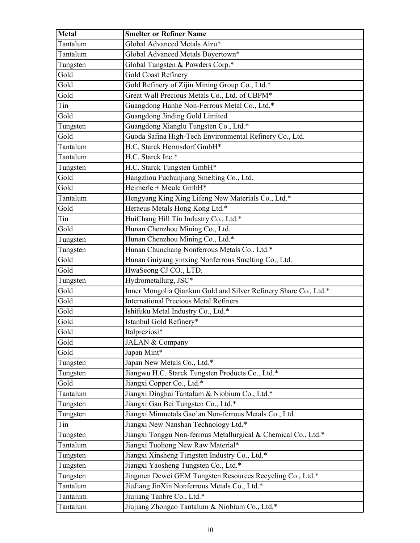| Metal    | <b>Smelter or Refiner Name</b>                                   |
|----------|------------------------------------------------------------------|
| Tantalum | Global Advanced Metals Aizu*                                     |
| Tantalum | Global Advanced Metals Boyertown*                                |
| Tungsten | Global Tungsten & Powders Corp.*                                 |
| Gold     | Gold Coast Refinery                                              |
| Gold     | Gold Refinery of Zijin Mining Group Co., Ltd.*                   |
| Gold     | Great Wall Precious Metals Co., Ltd. of CBPM*                    |
| Tin      | Guangdong Hanhe Non-Ferrous Metal Co., Ltd.*                     |
| Gold     | Guangdong Jinding Gold Limited                                   |
| Tungsten | Guangdong Xianglu Tungsten Co., Ltd.*                            |
| Gold     | Guoda Safina High-Tech Environmental Refinery Co., Ltd.          |
| Tantalum | H.C. Starck Hermsdorf GmbH*                                      |
| Tantalum | H.C. Starck Inc.*                                                |
| Tungsten | H.C. Starck Tungsten GmbH*                                       |
| Gold     | Hangzhou Fuchunjiang Smelting Co., Ltd.                          |
| Gold     | Heimerle + Meule GmbH*                                           |
| Tantalum | Hengyang King Xing Lifeng New Materials Co., Ltd.*               |
| Gold     | Heraeus Metals Hong Kong Ltd.*                                   |
| Tin      | HuiChang Hill Tin Industry Co., Ltd.*                            |
| Gold     | Hunan Chenzhou Mining Co., Ltd.                                  |
| Tungsten | Hunan Chenzhou Mining Co., Ltd.*                                 |
| Tungsten | Hunan Chunchang Nonferrous Metals Co., Ltd.*                     |
| Gold     | Hunan Guiyang yinxing Nonferrous Smelting Co., Ltd.              |
| Gold     | HwaSeong CJ CO., LTD.                                            |
| Tungsten | Hydrometallurg, JSC*                                             |
| Gold     | Inner Mongolia Qiankun Gold and Silver Refinery Share Co., Ltd.* |
| Gold     | <b>International Precious Metal Refiners</b>                     |
| Gold     | Ishifuku Metal Industry Co., Ltd.*                               |
| Gold     | Istanbul Gold Refinery*                                          |
| Gold     | Italpreziosi*                                                    |
| Gold     | JALAN & Company                                                  |
| Gold     | Japan Mint*                                                      |
| Tungsten | Japan New Metals Co., Ltd.*                                      |
| Tungsten | Jiangwu H.C. Starck Tungsten Products Co., Ltd.*                 |
| Gold     | Jiangxi Copper Co., Ltd.*                                        |
| Tantalum | Jiangxi Dinghai Tantalum & Niobium Co., Ltd.*                    |
| Tungsten | Jiangxi Gan Bei Tungsten Co., Ltd.*                              |
| Tungsten | Jiangxi Minmetals Gao'an Non-ferrous Metals Co., Ltd.            |
| Tin      | Jiangxi New Nanshan Technology Ltd.*                             |
| Tungsten | Jiangxi Tonggu Non-ferrous Metallurgical & Chemical Co., Ltd.*   |
| Tantalum | Jiangxi Tuohong New Raw Material*                                |
| Tungsten | Jiangxi Xinsheng Tungsten Industry Co., Ltd.*                    |
| Tungsten | Jiangxi Yaosheng Tungsten Co., Ltd.*                             |
| Tungsten | Jingmen Dewei GEM Tungsten Resources Recycling Co., Ltd.*        |
| Tantalum | JiuJiang JinXin Nonferrous Metals Co., Ltd.*                     |
| Tantalum | Jiujiang Tanbre Co., Ltd.*                                       |
| Tantalum | Jiujiang Zhongao Tantalum & Niobium Co., Ltd.*                   |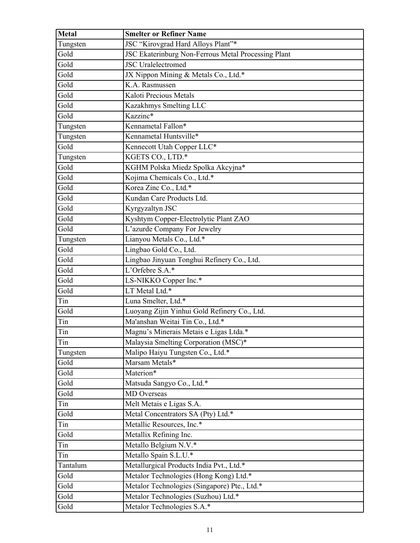| <b>Metal</b> | <b>Smelter or Refiner Name</b>                      |
|--------------|-----------------------------------------------------|
| Tungsten     | JSC "Kirovgrad Hard Alloys Plant"*                  |
| Gold         | JSC Ekaterinburg Non-Ferrous Metal Processing Plant |
| Gold         | <b>JSC</b> Uralelectromed                           |
| Gold         | JX Nippon Mining & Metals Co., Ltd.*                |
| Gold         | K.A. Rasmussen                                      |
| Gold         | Kaloti Precious Metals                              |
| Gold         | Kazakhmys Smelting LLC                              |
| Gold         | Kazzinc*                                            |
| Tungsten     | Kennametal Fallon*                                  |
| Tungsten     | Kennametal Huntsville*                              |
| Gold         | Kennecott Utah Copper LLC*                          |
| Tungsten     | KGETS CO., LTD.*                                    |
| Gold         | KGHM Polska Miedz Spolka Akcyjna*                   |
| Gold         | Kojima Chemicals Co., Ltd.*                         |
| Gold         | Korea Zinc Co., Ltd.*                               |
| Gold         | Kundan Care Products Ltd.                           |
| Gold         | Kyrgyzaltyn JSC                                     |
| Gold         | Kyshtym Copper-Electrolytic Plant ZAO               |
| Gold         | L'azurde Company For Jewelry                        |
| Tungsten     | Lianyou Metals Co., Ltd.*                           |
| Gold         | Lingbao Gold Co., Ltd.                              |
| Gold         | Lingbao Jinyuan Tonghui Refinery Co., Ltd.          |
| Gold         | L'Orfebre S.A.*                                     |
| Gold         | LS-NIKKO Copper Inc.*                               |
| Gold         | LT Metal Ltd.*                                      |
| Tin          | Luna Smelter, Ltd.*                                 |
| Gold         | Luoyang Zijin Yinhui Gold Refinery Co., Ltd.        |
| Tin          | Ma'anshan Weitai Tin Co., Ltd.*                     |
| Tin          | Magnu's Minerais Metais e Ligas Ltda.*              |
| Tin          | Malaysia Smelting Corporation (MSC)*                |
| Tungsten     | Malipo Haiyu Tungsten Co., Ltd.*                    |
| Gold         | Marsam Metals*                                      |
| Gold         | Materion*                                           |
| Gold         | Matsuda Sangyo Co., Ltd.*                           |
| Gold         | <b>MD</b> Overseas                                  |
| Tin          | Melt Metais e Ligas S.A.                            |
| Gold         | Metal Concentrators SA (Pty) Ltd.*                  |
| Tin          | Metallic Resources, Inc.*                           |
| Gold         | Metallix Refining Inc.                              |
| Tin          | Metallo Belgium N.V.*                               |
| Tin          | Metallo Spain S.L.U.*                               |
| Tantalum     | Metallurgical Products India Pvt., Ltd.*            |
| Gold         | Metalor Technologies (Hong Kong) Ltd.*              |
| Gold         | Metalor Technologies (Singapore) Pte., Ltd.*        |
| Gold         | Metalor Technologies (Suzhou) Ltd.*                 |
| Gold         | Metalor Technologies S.A.*                          |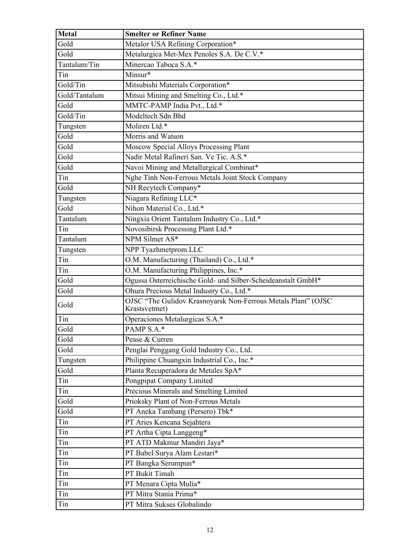| <b>Metal</b>  | <b>Smelter or Refiner Name</b>                                                 |
|---------------|--------------------------------------------------------------------------------|
| Gold          | Metalor USA Refining Corporation*                                              |
| Gold          | Metalurgica Met-Mex Penoles S.A. De C.V.*                                      |
| Tantalum/Tin  | Minercao Taboca S.A.*                                                          |
| Tin           | Minsur*                                                                        |
| Gold/Tin      | Mitsubishi Materials Corporation*                                              |
| Gold/Tantalum | Mitsui Mining and Smelting Co., Ltd.*                                          |
| Gold          | MMTC-PAMP India Pvt., Ltd.*                                                    |
| Gold/Tin      | Modeltech Sdn Bhd                                                              |
| Tungsten      | Moliren Ltd.*                                                                  |
| Gold          | Morris and Watson                                                              |
| Gold          | Moscow Special Alloys Processing Plant                                         |
| Gold          | Nadir Metal Rafineri San. Ve Tic. A.S.*                                        |
| Gold          | Navoi Mining and Metallurgical Combinat*                                       |
| Tin           | Nghe Tinh Non-Ferrous Metals Joint Stock Company                               |
| Gold          | NH Recytech Company*                                                           |
| Tungsten      | Niagara Refining LLC*                                                          |
| Gold          | Nihon Material Co., Ltd.*                                                      |
| Tantalum      | Ningxia Orient Tantalum Industry Co., Ltd.*                                    |
| Tin           | Novosibirsk Processing Plant Ltd.*                                             |
| Tantalum      | NPM Silmet AS*                                                                 |
| Tungsten      | NPP Tyazhmetprom LLC                                                           |
| Tin           | O.M. Manufacturing (Thailand) Co., Ltd.*                                       |
| Tin           | O.M. Manufacturing Philippines, Inc.*                                          |
| Gold          | Ogussa Osterreichische Gold- und Silber-Scheideanstalt GmbH*                   |
| Gold          | Ohura Precious Metal Industry Co., Ltd.*                                       |
| Gold          | OJSC "The Gulidov Krasnoyarsk Non-Ferrous Metals Plant" (OJSC<br>Krastsvetmet) |
| Tin           | Operaciones Metalurgicas S.A.*                                                 |
| Gold          | PAMP S.A.*                                                                     |
| Gold          | Pease & Curren                                                                 |
| Gold          | Penglai Penggang Gold Industry Co., Ltd.                                       |
| Tungsten      | Philippine Chuangxin Industrial Co., Inc.*                                     |
| Gold          | Planta Recuperadora de Metales SpA*                                            |
| Tin           | Pongpipat Company Limited                                                      |
| Tin           | Precious Minerals and Smelting Limited                                         |
| Gold          | Prioksky Plant of Non-Ferrous Metals                                           |
| Gold          | PT Aneka Tambang (Persero) Tbk*                                                |
| Tin           | PT Aries Kencana Sejahtera                                                     |
| Tin           | PT Artha Cipta Langgeng*                                                       |
| Tin           | PT ATD Makmur Mandiri Jaya*                                                    |
| Tin           | PT Babel Surya Alam Lestari*                                                   |
| Tin           | PT Bangka Serumpun*                                                            |
| Tin           | PT Bukit Timah                                                                 |
| Tin           | PT Menara Cipta Mulia*                                                         |
| Tin           | PT Mitra Stania Prima*                                                         |
| Tin           | PT Mitra Sukses Globalindo                                                     |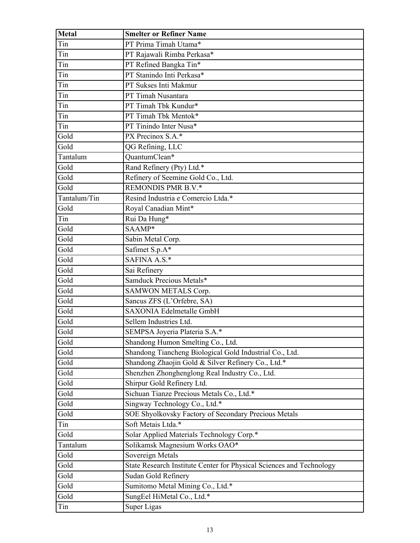| Metal        | <b>Smelter or Refiner Name</b>                                       |
|--------------|----------------------------------------------------------------------|
| Tin          | PT Prima Timah Utama*                                                |
| Tin          | PT Rajawali Rimba Perkasa*                                           |
| Tin          | PT Refined Bangka Tin*                                               |
| Tin          | PT Stanindo Inti Perkasa*                                            |
| Tin          | PT Sukses Inti Makmur                                                |
| Tin          | PT Timah Nusantara                                                   |
| Tin          | PT Timah Tbk Kundur*                                                 |
| Tin          | PT Timah Tbk Mentok*                                                 |
| Tin          | PT Tinindo Inter Nusa*                                               |
| Gold         | PX Precinox S.A.*                                                    |
| Gold         | QG Refining, LLC                                                     |
| Tantalum     | QuantumClean*                                                        |
| Gold         | Rand Refinery (Pty) Ltd.*                                            |
| Gold         | Refinery of Seemine Gold Co., Ltd.                                   |
| Gold         | REMONDIS PMR B.V.*                                                   |
| Tantalum/Tin | Resind Industria e Comercio Ltda.*                                   |
| Gold         | Royal Canadian Mint*                                                 |
| Tin          | Rui Da Hung*                                                         |
| Gold         | SAAMP*                                                               |
| Gold         | Sabin Metal Corp.                                                    |
| Gold         | Safimet S.p.A*                                                       |
| Gold         | SAFINA A.S.*                                                         |
| Gold         | Sai Refinery                                                         |
| Gold         | Samduck Precious Metals*                                             |
| Gold         | SAMWON METALS Corp.                                                  |
| Gold         | Sancus ZFS (L'Orfebre, SA)                                           |
| Gold         | <b>SAXONIA Edelmetalle GmbH</b>                                      |
| Gold         | Sellem Industries Ltd.                                               |
| Gold         | SEMPSA Joyeria Plateria S.A.*                                        |
| Gold         | Shandong Humon Smelting Co., Ltd.                                    |
| Gold         | Shandong Tiancheng Biological Gold Industrial Co., Ltd.              |
| Gold         | Shandong Zhaojin Gold & Silver Refinery Co., Ltd.*                   |
| Gold         | Shenzhen Zhonghenglong Real Industry Co., Ltd.                       |
| Gold         | Shirpur Gold Refinery Ltd.                                           |
| Gold         | Sichuan Tianze Precious Metals Co., Ltd.*                            |
| Gold         | Singway Technology Co., Ltd.*                                        |
| Gold         | SOE Shyolkovsky Factory of Secondary Precious Metals                 |
| Tin          | Soft Metais Ltda.*                                                   |
| Gold         | Solar Applied Materials Technology Corp.*                            |
| Tantalum     | Solikamsk Magnesium Works OAO*                                       |
| Gold         | Sovereign Metals                                                     |
| Gold         | State Research Institute Center for Physical Sciences and Technology |
| Gold         | Sudan Gold Refinery                                                  |
| Gold         | Sumitomo Metal Mining Co., Ltd.*                                     |
| Gold         | SungEel HiMetal Co., Ltd.*                                           |
| Tin          | Super Ligas                                                          |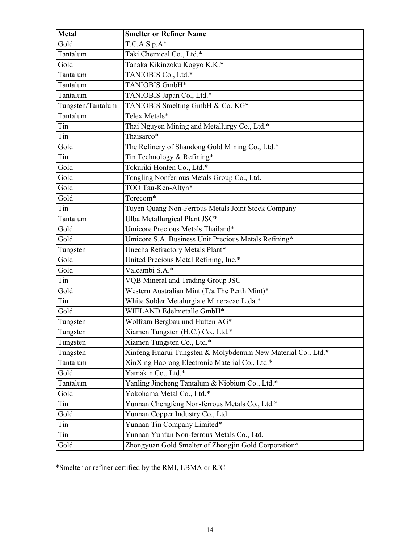| <b>Metal</b>      | <b>Smelter or Refiner Name</b>                               |
|-------------------|--------------------------------------------------------------|
| Gold              | $T.C.A S.p.A*$                                               |
| Tantalum          | Taki Chemical Co., Ltd.*                                     |
| Gold              | Tanaka Kikinzoku Kogyo K.K.*                                 |
| Tantalum          | TANIOBIS Co., Ltd.*                                          |
| Tantalum          | TANIOBIS GmbH*                                               |
| Tantalum          | TANIOBIS Japan Co., Ltd.*                                    |
| Tungsten/Tantalum | TANIOBIS Smelting GmbH & Co. KG*                             |
| Tantalum          | Telex Metals*                                                |
| Tin               | Thai Nguyen Mining and Metallurgy Co., Ltd.*                 |
| Tin               | Thaisarco*                                                   |
| Gold              | The Refinery of Shandong Gold Mining Co., Ltd.*              |
| Tin               | Tin Technology & Refining*                                   |
| Gold              | Tokuriki Honten Co., Ltd.*                                   |
| Gold              | Tongling Nonferrous Metals Group Co., Ltd.                   |
| Gold              | TOO Tau-Ken-Altyn*                                           |
| Gold              | Torecom*                                                     |
| Tin               | Tuyen Quang Non-Ferrous Metals Joint Stock Company           |
| Tantalum          | Ulba Metallurgical Plant JSC*                                |
| Gold              | Umicore Precious Metals Thailand*                            |
| Gold              | Umicore S.A. Business Unit Precious Metals Refining*         |
| Tungsten          | Unecha Refractory Metals Plant*                              |
| Gold              | United Precious Metal Refining, Inc.*                        |
| Gold              | Valcambi S.A.*                                               |
| Tin               | VQB Mineral and Trading Group JSC                            |
| Gold              | Western Australian Mint (T/a The Perth Mint)*                |
| Tin               | White Solder Metalurgia e Mineracao Ltda.*                   |
| Gold              | WIELAND Edelmetalle GmbH*                                    |
| Tungsten          | Wolfram Bergbau und Hutten AG*                               |
| Tungsten          | Xiamen Tungsten (H.C.) Co., Ltd.*                            |
| Tungsten          | Xiamen Tungsten Co., Ltd.*                                   |
| Tungsten          | Xinfeng Huarui Tungsten & Molybdenum New Material Co., Ltd.* |
| Tantalum          | XinXing Haorong Electronic Material Co., Ltd.*               |
| Gold              | Yamakin Co., Ltd.*                                           |
| Tantalum          | Yanling Jincheng Tantalum & Niobium Co., Ltd.*               |
| Gold              | Yokohama Metal Co., Ltd.*                                    |
| Tin               | Yunnan Chengfeng Non-ferrous Metals Co., Ltd.*               |
| Gold              | Yunnan Copper Industry Co., Ltd.                             |
| Tin               | Yunnan Tin Company Limited*                                  |
| Tin               | Yunnan Yunfan Non-ferrous Metals Co., Ltd.                   |
| Gold              | Zhongyuan Gold Smelter of Zhongjin Gold Corporation*         |

\*Smelter or refiner certified by the RMI, LBMA or RJC